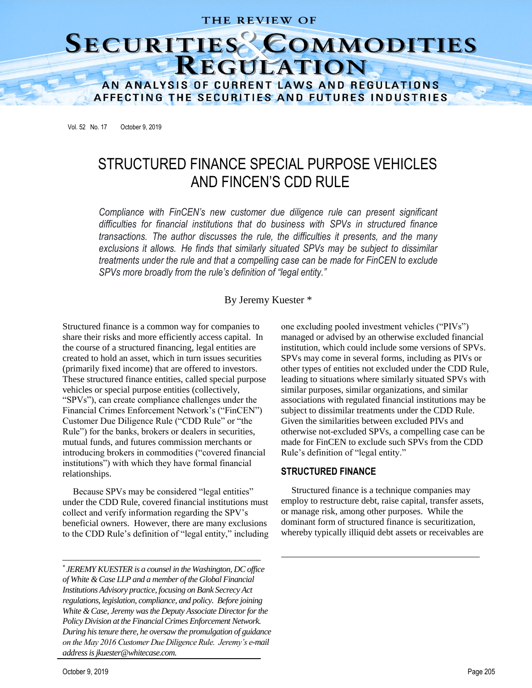# THE REVIEW OF

# SECURITIES COMMODITIES AN ANALYSIS OF CURRENT LAWS AND REGULATIONS

AFFECTING THE SECURITIES AND FUTURES INDUSTRIES

Vol. 52 No. 17 October 9, 2019

# STRUCTURED FINANCE SPECIAL PURPOSE VEHICLES AND FINCEN'S CDD RULE

*Compliance with FinCEN's new customer due diligence rule can present significant difficulties for financial institutions that do business with SPVs in structured finance transactions. The author discusses the rule, the difficulties it presents, and the many exclusions it allows. He finds that similarly situated SPVs may be subject to dissimilar treatments under the rule and that a compelling case can be made for FinCEN to exclude SPVs more broadly from the rule's definition of "legal entity."*

## By Jeremy Kuester \*

Structured finance is a common way for companies to share their risks and more efficiently access capital. In the course of a structured financing, legal entities are created to hold an asset, which in turn issues securities (primarily fixed income) that are offered to investors. These structured finance entities, called special purpose vehicles or special purpose entities (collectively, "SPVs"), can create compliance challenges under the Financial Crimes Enforcement Network's ("FinCEN") Customer Due Diligence Rule ("CDD Rule" or "the Rule") for the banks, brokers or dealers in securities, mutual funds, and futures commission merchants or introducing brokers in commodities ("covered financial institutions") with which they have formal financial relationships.

Because SPVs may be considered "legal entities" under the CDD Rule, covered financial institutions must collect and verify information regarding the SPV's beneficial owners. However, there are many exclusions to the CDD Rule's definition of "legal entity," including

 *JEREMY KUESTER is a counsel in the Washington, DC office of White & Case LLP and a member of the Global Financial Institutions Advisory practice, focusing on Bank Secrecy Act regulations, legislation, compliance, and policy. Before joining White & Case, Jeremy was the Deputy Associate Director for the Policy Division at the Financial Crimes Enforcement Network. During his tenure there, he oversaw the promulgation of guidance on the May 2016 Customer Due Diligence Rule. Jeremy's e-mail address is jkuester@whitecase.com.*

one excluding pooled investment vehicles ("PIVs") managed or advised by an otherwise excluded financial institution, which could include some versions of SPVs. SPVs may come in several forms, including as PIVs or other types of entities not excluded under the CDD Rule, leading to situations where similarly situated SPVs with similar purposes, similar organizations, and similar associations with regulated financial institutions may be subject to dissimilar treatments under the CDD Rule. Given the similarities between excluded PIVs and otherwise not-excluded SPVs, a compelling case can be made for FinCEN to exclude such SPVs from the CDD Rule's definition of "legal entity."

#### **STRUCTURED FINANCE**

Structured finance is a technique companies may employ to restructure debt, raise capital, transfer assets, or manage risk, among other purposes. While the dominant form of structured finance is securitization, whereby typically illiquid debt assets or receivables are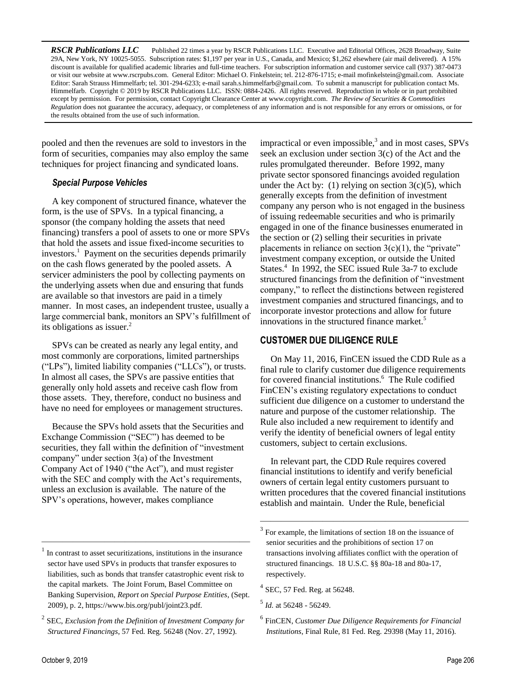*RSCR Publications LLC* Published 22 times a year by RSCR Publications LLC. Executive and Editorial Offices, 2628 Broadway, Suite 29A, New York, NY 10025-5055. Subscription rates: \$1,197 per year in U.S., Canada, and Mexico; \$1,262 elsewhere (air mail delivered). A 15% discount is available for qualified academic libraries and full-time teachers. For subscription information and customer service call (937) 387-0473 or visit our website at [www.rscrpubs.com.](http://www.rscrpubs.com/) General Editor: Michael O. Finkelstein; tel. 212-876-1715; e-mail mofinkelstein@gmail.com. Associate Editor: Sarah Strauss Himmelfarb; tel. 301-294-6233; e-mail sarah.s.himmelfarb@gmail.com. To submit a manuscript for publication contact Ms. Himmelfarb. Copyright © 2019 by RSCR Publications LLC. ISSN: 0884-2426. All rights reserved. Reproduction in whole or in part prohibited except by permission. For permission, contact Copyright Clearance Center a[t www.copyright.com.](http://www.copyright.com/) *The Review of Securities & Commodities Regulation* does not guarantee the accuracy, adequacy, or completeness of any information and is not responsible for any errors or omissions, or for the results obtained from the use of such information.

pooled and then the revenues are sold to investors in the form of securities, companies may also employ the same techniques for project financing and syndicated loans.

# *Special Purpose Vehicles*

A key component of structured finance, whatever the form, is the use of SPVs. In a typical financing, a sponsor (the company holding the assets that need financing) transfers a pool of assets to one or more SPVs that hold the assets and issue fixed-income securities to investors.<sup>1</sup> Payment on the securities depends primarily on the cash flows generated by the pooled assets. A servicer administers the pool by collecting payments on the underlying assets when due and ensuring that funds are available so that investors are paid in a timely manner. In most cases, an independent trustee, usually a large commercial bank, monitors an SPV's fulfillment of its obligations as issuer.<sup>2</sup>

SPVs can be created as nearly any legal entity, and most commonly are corporations, limited partnerships ("LPs"), limited liability companies ("LLCs"), or trusts. In almost all cases, the SPVs are passive entities that generally only hold assets and receive cash flow from those assets. They, therefore, conduct no business and have no need for employees or management structures.

Because the SPVs hold assets that the Securities and Exchange Commission ("SEC") has deemed to be securities, they fall within the definition of "investment company" under section 3(a) of the Investment Company Act of 1940 ("the Act"), and must register with the SEC and comply with the Act's requirements, unless an exclusion is available. The nature of the SPV's operations, however, makes compliance

impractical or even impossible, $3$  and in most cases, SPVs seek an exclusion under section 3(c) of the Act and the rules promulgated thereunder. Before 1992, many private sector sponsored financings avoided regulation under the Act by: (1) relying on section  $3(c)(5)$ , which generally excepts from the definition of investment company any person who is not engaged in the business of issuing redeemable securities and who is primarily engaged in one of the finance businesses enumerated in the section or (2) selling their securities in private placements in reliance on section  $3(c)(1)$ , the "private" investment company exception, or outside the United States.<sup>4</sup> In 1992, the SEC issued Rule 3a-7 to exclude structured financings from the definition of "investment company," to reflect the distinctions between registered investment companies and structured financings, and to incorporate investor protections and allow for future innovations in the structured finance market.<sup>5</sup>

# **CUSTOMER DUE DILIGENCE RULE**

On May 11, 2016, FinCEN issued the CDD Rule as a final rule to clarify customer due diligence requirements for covered financial institutions.<sup>6</sup> The Rule codified FinCEN's existing regulatory expectations to conduct sufficient due diligence on a customer to understand the nature and purpose of the customer relationship. The Rule also included a new requirement to identify and verify the identity of beneficial owners of legal entity customers, subject to certain exclusions.

In relevant part, the CDD Rule requires covered financial institutions to identify and verify beneficial owners of certain legal entity customers pursuant to written procedures that the covered financial institutions establish and maintain. Under the Rule, beneficial

————————————————————

<sup>1</sup> In contrast to asset securitizations, institutions in the insurance sector have used SPVs in products that transfer exposures to liabilities, such as bonds that transfer catastrophic event risk to the capital markets. The Joint Forum, Basel Committee on Banking Supervision, *Report on Special Purpose Entities*, (Sept. 2009), p. 2, https://www.bis.org/publ/joint23.pdf.

<sup>2</sup> SEC, *Exclusion from the Definition of Investment Company for Structured Financings*, 57 Fed. Reg. 56248 (Nov. 27, 1992).

<sup>&</sup>lt;sup>3</sup> For example, the limitations of section 18 on the issuance of senior securities and the prohibitions of section 17 on transactions involving affiliates conflict with the operation of structured financings. 18 U.S.C. §§ 80a-18 and 80a-17, respectively.

<sup>4</sup> SEC, 57 Fed. Reg. at 56248.

<sup>5</sup> *Id.* at 56248 - 56249.

<sup>6</sup> FinCEN, *Customer Due Diligence Requirements for Financial Institutions*, Final Rule, 81 Fed. Reg. 29398 (May 11, 2016).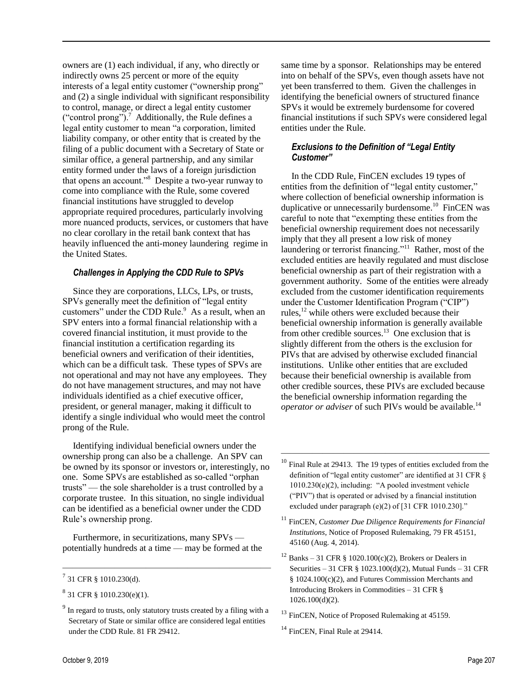owners are (1) each individual, if any, who directly or indirectly owns 25 percent or more of the equity interests of a legal entity customer ("ownership prong" and (2) a single individual with significant responsibility to control, manage, or direct a legal entity customer ("control prong").<sup>7</sup> Additionally, the Rule defines a legal entity customer to mean "a corporation, limited liability company, or other entity that is created by the filing of a public document with a Secretary of State or similar office, a general partnership, and any similar entity formed under the laws of a foreign jurisdiction that opens an account."<sup>8</sup> Despite a two-year runway to come into compliance with the Rule, some covered financial institutions have struggled to develop appropriate required procedures, particularly involving more nuanced products, services, or customers that have no clear corollary in the retail bank context that has heavily influenced the anti-money laundering regime in the United States.

#### *Challenges in Applying the CDD Rule to SPVs*

Since they are corporations, LLCs, LPs, or trusts, SPVs generally meet the definition of "legal entity customers" under the CDD Rule.<sup>9</sup> As a result, when an SPV enters into a formal financial relationship with a covered financial institution, it must provide to the financial institution a certification regarding its beneficial owners and verification of their identities, which can be a difficult task. These types of SPVs are not operational and may not have any employees. They do not have management structures, and may not have individuals identified as a chief executive officer, president, or general manager, making it difficult to identify a single individual who would meet the control prong of the Rule.

Identifying individual beneficial owners under the ownership prong can also be a challenge. An SPV can be owned by its sponsor or investors or, interestingly, no one. Some SPVs are established as so-called "orphan trusts" — the sole shareholder is a trust controlled by a corporate trustee. In this situation, no single individual can be identified as a beneficial owner under the CDD Rule's ownership prong.

Furthermore, in securitizations, many SPVs potentially hundreds at a time — may be formed at the

————————————————————

same time by a sponsor. Relationships may be entered into on behalf of the SPVs, even though assets have not yet been transferred to them. Given the challenges in identifying the beneficial owners of structured finance SPVs it would be extremely burdensome for covered financial institutions if such SPVs were considered legal entities under the Rule.

# *Exclusions to the Definition of "Legal Entity Customer"*

In the CDD Rule, FinCEN excludes 19 types of entities from the definition of "legal entity customer," where collection of beneficial ownership information is duplicative or unnecessarily burdensome.<sup>10</sup> FinCEN was careful to note that "exempting these entities from the beneficial ownership requirement does not necessarily imply that they all present a low risk of money laundering or terrorist financing."<sup>11</sup> Rather, most of the excluded entities are heavily regulated and must disclose beneficial ownership as part of their registration with a government authority. Some of the entities were already excluded from the customer identification requirements under the Customer Identification Program ("CIP") rules,<sup>12</sup> while others were excluded because their beneficial ownership information is generally available from other credible sources. $13$  One exclusion that is slightly different from the others is the exclusion for PIVs that are advised by otherwise excluded financial institutions. Unlike other entities that are excluded because their beneficial ownership is available from other credible sources, these PIVs are excluded because the beneficial ownership information regarding the *operator or adviser* of such PIVs would be available.<sup>14</sup>

 $^{7}$  31 CFR § 1010.230(d).

 $8^{8}$  31 CFR § 1010.230(e)(1).

<sup>&</sup>lt;sup>9</sup> In regard to trusts, only statutory trusts created by a filing with a Secretary of State or similar office are considered legal entities under the CDD Rule. 81 FR 29412.

<sup>&</sup>lt;sup>10</sup> Final Rule at 29413. The 19 types of entities excluded from the definition of "legal entity customer" are identified at 31 CFR § 1010.230(e)(2), including: "A pooled investment vehicle ("PIV") that is operated or advised by a financial institution excluded under paragraph (e)(2) of [31 CFR 1010.230]."

<sup>11</sup> FinCEN, *Customer Due Diligence Requirements for Financial Institutions*, Notice of Proposed Rulemaking, 79 FR 45151, 45160 (Aug. 4, 2014).

<sup>&</sup>lt;sup>12</sup> Banks – 31 CFR § 1020.100(c)(2), Brokers or Dealers in Securities – 31 CFR § 1023.100(d)(2), Mutual Funds – 31 CFR § 1024.100(c)(2), and Futures Commission Merchants and Introducing Brokers in Commodities – 31 CFR § 1026.100(d)(2).

<sup>&</sup>lt;sup>13</sup> FinCEN, Notice of Proposed Rulemaking at 45159.

<sup>&</sup>lt;sup>14</sup> FinCEN, Final Rule at 29414.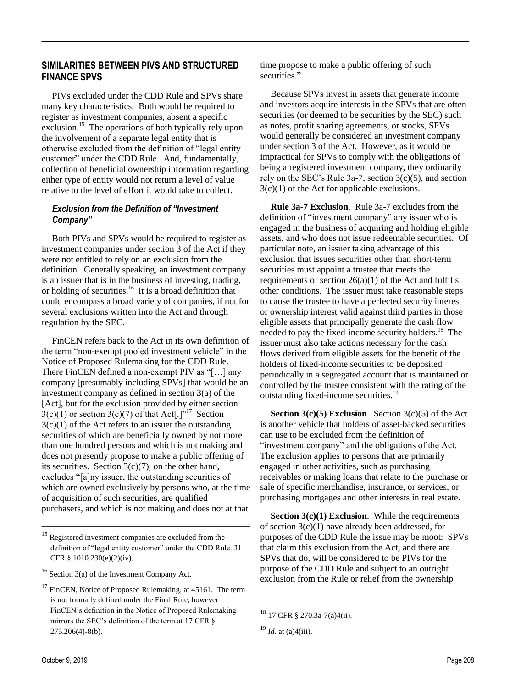## **SIMILARITIES BETWEEN PIVS AND STRUCTURED FINANCE SPVS**

PIVs excluded under the CDD Rule and SPVs share many key characteristics. Both would be required to register as investment companies, absent a specific exclusion.<sup>15</sup> The operations of both typically rely upon the involvement of a separate legal entity that is otherwise excluded from the definition of "legal entity customer" under the CDD Rule. And, fundamentally, collection of beneficial ownership information regarding either type of entity would not return a level of value relative to the level of effort it would take to collect.

#### *Exclusion from the Definition of "Investment Company"*

Both PIVs and SPVs would be required to register as investment companies under section 3 of the Act if they were not entitled to rely on an exclusion from the definition. Generally speaking, an investment company is an issuer that is in the business of investing, trading, or holding of securities.<sup>16</sup> It is a broad definition that could encompass a broad variety of companies, if not for several exclusions written into the Act and through regulation by the SEC.

FinCEN refers back to the Act in its own definition of the term "non-exempt pooled investment vehicle" in the Notice of Proposed Rulemaking for the CDD Rule. There FinCEN defined a non-exempt PIV as "[…] any company [presumably including SPVs] that would be an investment company as defined in section 3(a) of the [Act], but for the exclusion provided by either section  $3(c)(1)$  or section  $3(c)(7)$  of that Act[.]<sup>"17</sup> Section  $3(c)(1)$  of the Act refers to an issuer the outstanding securities of which are beneficially owned by not more than one hundred persons and which is not making and does not presently propose to make a public offering of its securities. Section  $3(c)(7)$ , on the other hand, excludes "[a]ny issuer, the outstanding securities of which are owned exclusively by persons who, at the time of acquisition of such securities, are qualified purchasers, and which is not making and does not at that

————————————————————

time propose to make a public offering of such securities."

Because SPVs invest in assets that generate income and investors acquire interests in the SPVs that are often securities (or deemed to be securities by the SEC) such as notes, profit sharing agreements, or stocks, SPVs would generally be considered an investment company under section 3 of the Act. However, as it would be impractical for SPVs to comply with the obligations of being a registered investment company, they ordinarily rely on the SEC's Rule 3a-7, section  $3(c)(5)$ , and section 3(c)(1) of the Act for applicable exclusions.

**Rule 3a-7 Exclusion**. Rule 3a-7 excludes from the definition of "investment company" any issuer who is engaged in the business of acquiring and holding eligible assets, and who does not issue redeemable securities. Of particular note, an issuer taking advantage of this exclusion that issues securities other than short-term securities must appoint a trustee that meets the requirements of section  $26(a)(1)$  of the Act and fulfills other conditions. The issuer must take reasonable steps to cause the trustee to have a perfected security interest or ownership interest valid against third parties in those eligible assets that principally generate the cash flow needed to pay the fixed-income security holders.<sup>18</sup> The issuer must also take actions necessary for the cash flows derived from eligible assets for the benefit of the holders of fixed-income securities to be deposited periodically in a segregated account that is maintained or controlled by the trustee consistent with the rating of the outstanding fixed-income securities.<sup>19</sup>

**Section 3(c)(5) Exclusion**. Section 3(c)(5) of the Act is another vehicle that holders of asset-backed securities can use to be excluded from the definition of "investment company" and the obligations of the Act. The exclusion applies to persons that are primarily engaged in other activities, such as purchasing receivables or making loans that relate to the purchase or sale of specific merchandise, insurance, or services, or purchasing mortgages and other interests in real estate.

**Section 3(c)(1) Exclusion.** While the requirements of section  $3(c)(1)$  have already been addressed, for purposes of the CDD Rule the issue may be moot: SPVs that claim this exclusion from the Act, and there are SPVs that do, will be considered to be PIVs for the purpose of the CDD Rule and subject to an outright exclusion from the Rule or relief from the ownership

<sup>&</sup>lt;sup>15</sup> Registered investment companies are excluded from the definition of "legal entity customer" under the CDD Rule. 31 CFR § 1010.230(e)(2)(iv).

 $16$  Section 3(a) of the Investment Company Act.

<sup>&</sup>lt;sup>17</sup> FinCEN, Notice of Proposed Rulemaking, at 45161. The term is not formally defined under the Final Rule, however FinCEN's definition in the Notice of Proposed Rulemaking mirrors the SEC's definition of the term at 17 CFR § 275.206(4)-8(b).

<sup>18</sup> 17 CFR § 270.3a-7(a)4(ii).

<sup>19</sup> *Id.* at (a)4(iii).